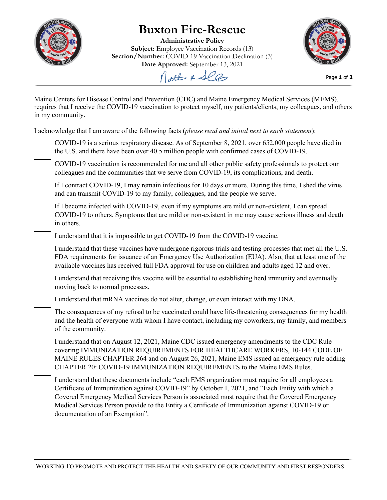

## **Buxton Fire-Rescue**

**Administrative Policy Subject:** Employee Vaccination Records (13) **Section/Number:** COVID-19 Vaccination Declination (3) **Date Approved:** September 13, 2021



Page **1** of **2**

Nott & See

Maine Centers for Disease Control and Prevention (CDC) and Maine Emergency Medical Services (MEMS), requires that I receive the COVID-19 vaccination to protect myself, my patients/clients, my colleagues, and others in my community.

I acknowledge that I am aware of the following facts (*please read and initial next to each statement*):

- COVID-19 is a serious respiratory disease. As of September 8, 2021, over 652,000 people have died in the U.S. and there have been over 40.5 million people with confirmed cases of COVID-19.
- COVID-19 vaccination is recommended for me and all other public safety professionals to protect our colleagues and the communities that we serve from COVID-19, its complications, and death.
- If I contract COVID-19, I may remain infectious for 10 days or more. During this time, I shed the virus and can transmit COVID-19 to my family, colleagues, and the people we serve.
- If I become infected with COVID-19, even if my symptoms are mild or non-existent, I can spread COVID-19 to others. Symptoms that are mild or non-existent in me may cause serious illness and death in others.
- I understand that it is impossible to get COVID-19 from the COVID-19 vaccine.

I understand that these vaccines have undergone rigorous trials and testing processes that met all the U.S. FDA requirements for issuance of an Emergency Use Authorization (EUA). Also, that at least one of the available vaccines has received full FDA approval for use on children and adults aged 12 and over.

- I understand that receiving this vaccine will be essential to establishing herd immunity and eventually moving back to normal processes.
- I understand that mRNA vaccines do not alter, change, or even interact with my DNA.
- The consequences of my refusal to be vaccinated could have life-threatening consequences for my health and the health of everyone with whom I have contact, including my coworkers, my family, and members of the community.
- I understand that on August 12, 2021, Maine CDC issued emergency amendments to the CDC Rule covering IMMUNIZATION REQUIREMENTS FOR HEALTHCARE WORKERS, 10-144 CODE OF MAINE RULES CHAPTER 264 and on August 26, 2021, Maine EMS issued an emergency rule adding CHAPTER 20: COVID-19 IMMUNIZATION REQUIREMENTS to the Maine EMS Rules.
- I understand that these documents include "each EMS organization must require for all employees a Certificate of Immunization against COVID-19" by October 1, 2021, and "Each Entity with which a Covered Emergency Medical Services Person is associated must require that the Covered Emergency Medical Services Person provide to the Entity a Certificate of Immunization against COVID-19 or documentation of an Exemption".